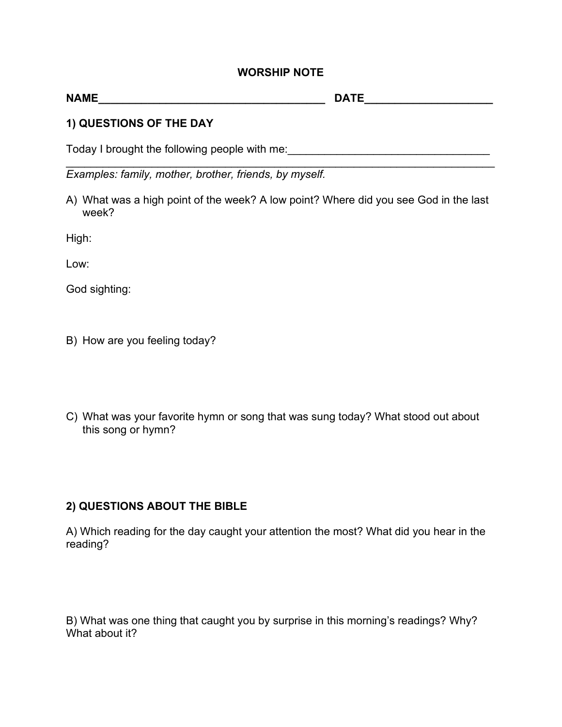## **WORSHIP NOTE**

| <b>NAME</b>             | <b>DATE</b> |  |
|-------------------------|-------------|--|
| 1) QUESTIONS OF THE DAY |             |  |

Today I brought the following people with me:<br>
Today I brought the following people with me:

\_\_\_\_\_\_\_\_\_\_\_\_\_\_\_\_\_\_\_\_\_\_\_\_\_\_\_\_\_\_\_\_\_\_\_\_\_\_\_\_\_\_\_\_\_\_\_\_\_\_\_\_\_\_\_\_\_\_\_\_\_\_\_\_\_\_\_\_\_\_ *Examples: family, mother, brother, friends, by myself.* 

A) What was a high point of the week? A low point? Where did you see God in the last week?

High:

Low:

God sighting:

- B) How are you feeling today?
- C) What was your favorite hymn or song that was sung today? What stood out about this song or hymn?

## **2) QUESTIONS ABOUT THE BIBLE**

A) Which reading for the day caught your attention the most? What did you hear in the reading?

B) What was one thing that caught you by surprise in this morning's readings? Why? What about it?